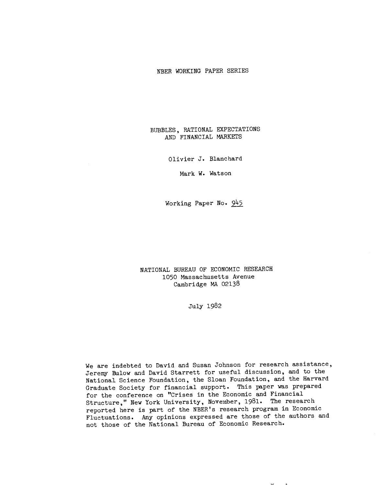### NBER WORKING PAPER SERIES

BUBBLES, RATIONAL EXPECTATIONS AND FINANCIAL MARKETS

Olivier J. Blanchard

Mark W. Watson

Working Paper No. 945

NATIONAL BUREAU OF ECONOMIC RESEARCH 1050 Massachusetts Avenue Cambridge MA 02138

July 1982

We are indebted to David and Susan Johnson for research assistance, Jeremy Bulow and David Starrett for useful discussion, and to the National Science Foundation, the Sloan Foundation, and the Harvard Graduate Society for financial support. This paper was prepared for the conference on "Crises in the Economic and Financial Structure," New York University, November, 1981. The research reported here is part of the NBER's research program in Economic Fluctuations. Any opinions expressed are those of the authors and not those of the National Bureau of Economic Research.

 $\sim$   $\sim$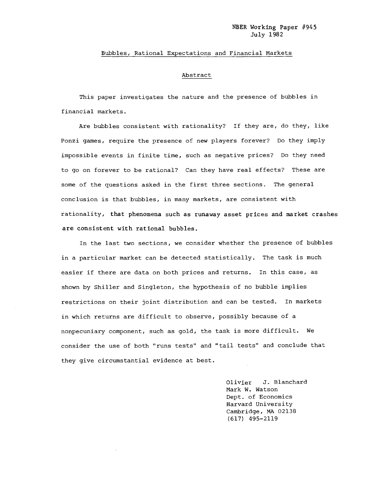#### Bubbles, Rational Expectations and Financial Markets

#### Abstract

This paper investigates the nature and the presence of bubbles in financial markets.

Are bubbles consistent with rationality? If they are, do they, like Ponzi games, require the presence of new players forever? Do they imply impossible events in finite time, such as negative prices? Do they need to go on forever to be rational? Can they have real effects? These are some of the questions asked in the first three sections. The general conclusion is that bubbles, in many markets, are consistent with rationality, that phenomena such as runaway asset prices and market crashes are consistent with rational bubbles.

In the last two sections, we consider whether the presence of bubbles in a particular market can be detected statistically. The task is much easier if there are data on both prices and returns. In this case, as shown by Shiller and Singleton, the hypothesis of no bubble implies restrictions on their joint distribution and can be tested. In markets in which returns are difficult to observe, possibly because of a nonpecuniary component, such as gold, the task is more difficult. We consider the use of both "runs tests" and "tail tests" and conclude that they give circumstantial evidence at best.

> Olivjer J. Blanchard Mark W. Watson Dept. of Economics Harvard University Cambridge, MA 02138 (617) 495—2119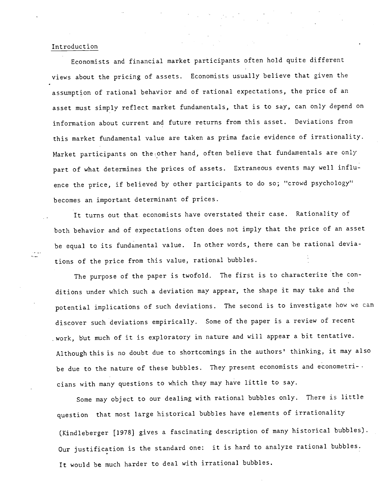#### Introduction

Economists and financial market participants often hold quite different views about the pricing of assets. Economists usually believe that given the assumption of rational behavior and of rational expectations, the price of an asset must simply reflect market fundamentals, that is to say, can only depend on information about current and future returns from this asset. Deviations from this market fundamental value are taken as prima facie evidence of irrationality. Market participants on the other hand, often believe that fundamentals are only part of what determines the prices of assets. Extraneous events may well influence the price, if believed by other participants to do so; "crowd psychology" becomes an important determinant of prices.

It turns out that economists have overstated their case. Rationality of both behavior and of expectations often does not imply that the price of an asset be equal to its fundamental value. In other words, there can he rational deviations of the price from this value, rational bubbles.

The purpose of the paper is twofold. The first is to characterize 'the conditions under which such a deviation may appear, the shape it may take and the potential implications of such deviations. The second is to investigate how we can discover such deviations empirically. Some of the paper is a review of recent .work, but much of it is exploratory in nature and will appear a bit tentative. Although this is no doubt due to shortcomings in the authors' thinking, it may also be due to the nature of these bubbles. They present economists and econometri-. cians with many questions to which they may have little to say.

Some may object to our dealing with rational bubbles only. There is little question that most large historical bubbles have elements of irrationality (Kindleberger [1978) gives a fascinating description of many historical bubbles). Our justification is the standard one: it is hard to analyze rational bubbles. It would be much harder to deal with irrational bubbles.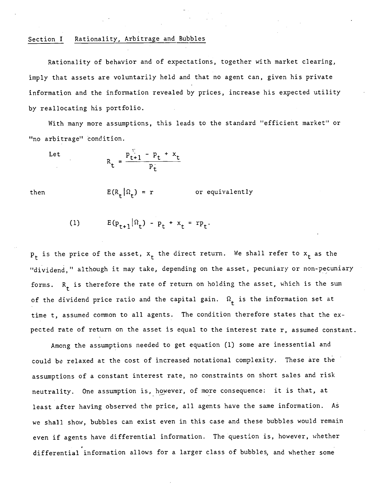# Section I Rationality, Arbitrage and Bubbles

 $R_{\perp} = \frac{C_{\perp} L}{2}$ 

Rationality of behavior and of expectations, together with market clearing, imply that assets are voluntarily held and that no agent can, given his private information and the information revealed by prices, increase his expected utility by reallocating his portfolio.

With many more assumptions, this leads to the standard "efficient market" or "no arbitrage" condition.

 $t = \frac{p_{t+1}^{T} - p_t + x_t}{p_t}$ 

Let

then  $E(R_r | R_r) = r$  or equivalently

(1)  $E(p_{t+1}|n_t) - p_t + x_t = rp_t$ .

 $P_t$  is the price of the asset,  $x_t$  the direct return. We shall refer to  $x_t$  as the "dividend," although it may take, depending on the asset, pecuniary or non-pecuniary forms.  $R_t$  is therefore the rate of return on holding the asset, which is the sum of the dividend price ratio and the capital gain.  $\Omega_t$  is the information set at time t, assumed common to all agents. The condition therefore states that the expected rate of return on the asset is equal to the interest rate r, assumed constant.

Among the assumptions needed to get equation (1) some are inessential and could be relaxed at the cost of increased notational complexity. These are the assumptions of a constant interest rate, no constraints on short sales and risk neutrality. One assumption is, however, of more consequence: it is that, at least after having observed the price, all agents have the same information. As we shall show, bubbles can exist even in this case and these bubbles would remain even if agents have differential information. The question is, however, whether differential information allows for a larger class of bubbles, and whether some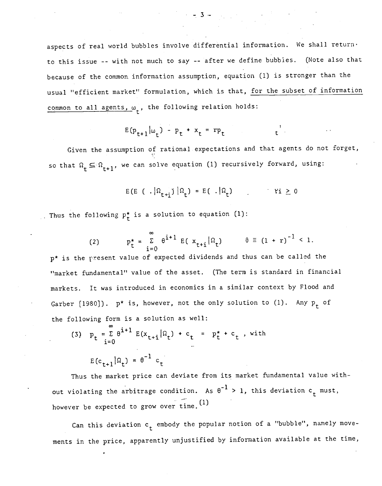aspects of real world bubbles involve differential information. We shall return. to this issue -- with not much to say -- after we define bubbles. (Note also that because of the common. information assumption, equation (1) is stronger than the usual "efficient market" formulation, which is that, for the subset of information common to all agents,  $\omega_{+}$ , the following relation holds:

$$
E(p_{t+1}|\omega_t) - p_t + x_t = rp_t
$$

Given the assumption of rational expectations and that agents do not forget, so that  $\Omega_t \subseteq \Omega_{t+1}$ , we can solve equation (1) recursively forward, using:

$$
E(E \left( . \left| \Omega_{t+i} \right) \right| \Omega_t) = E( . \left| \Omega_t \right) \qquad \text{vi } \geq 0
$$

. Thus the following  $p_t^*$  is a solution to equation (1):

(2) 
$$
p_t^* = \sum_{i=0}^{\infty} \theta^{i+1} E(x_{t+i}|\Omega_t) \qquad \theta \equiv (1+r)^{-1} < 1.
$$

p\* is the present value of expected dividends and thus can be called the "market fundamental" value of the asset. (The term is standard in financial markets. It was introduced in economics in a similar context by Flood and Garber [1980]).  $p^*$  is, however, not the only solution to (1). Any  $p_r$  of the following form is a solution as well:

(3) 
$$
p_t = \sum_{i=0}^{\infty} \theta^{i+1} E(x_{t+i} | \Omega_t) + c_t = p_t^* + c_t
$$
, with  

$$
E(c_{t+1} | \Omega_t) = \theta^{-1} c_t
$$

Thus the market price can deviate from its market fundamental value without violating the arbitrage condition. As  $\theta^{-1}$  > 1, this deviation  $c_{t}$  must, however be expected to grow over time. (1)

Can this deviation  $c_t$  embody the popular notion of a "bubble", namely movements in the price, apparently unjustified by information available at the time,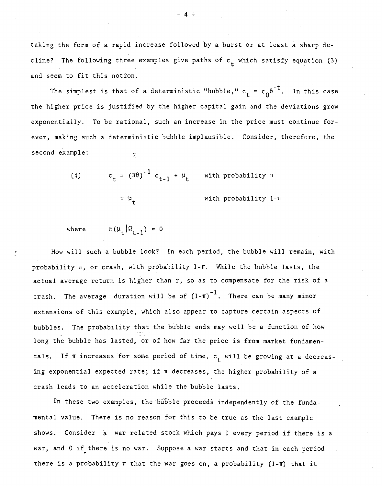taking the form of a rapid increase followed by a burst or at least a sharp decline? The following three examples give paths of  $c_{\mathbf{t}}$  which satisfy equation (3) and seem to fit this notion.

The simplest is that of a deterministic "bubble,"  $c_t = c_0 e^{-t}$ . In this case the higher price is justified by the higher capital gain and the deviations grow exponentially. To be rational, such an increase in the price must continue forever, making such a deterministic bubble implausible. Consider, therefore, the second example:  $\mathbb{S}^*_{1}$ 

(4) 
$$
c_t = (\pi \theta)^{-1} c_{t-1} + \mu_t
$$
 with probability  $\pi$   
 $= \mu_t$  with probability  $1-\pi$ 

where  $E(\mu_{t}|\Omega_{t-1}) = 0$ 

How will such a bubble look? In each period, the bubble will remain, with probability  $\pi$ , or crash, with probability 1- $\pi$ . While the bubble lasts, the actual average return is higher than r, so as to compensate for the risk of a crash. The average duration will be of  $(1-\pi)^{-1}$ . There can be many minor extensions of this example, which also appear to capture certain aspects of bubbles. The probability that the bubble ends may well be a function of how long the bubble has lasted, or of how far the price is from market fundamentals. If  $\pi$  increases for some period of time,  $c_t$  will be growing at a decreasing exponential expected rate; if  $\pi$  decreases, the higher probability of a crash leads to an acceleration while the bubble lasts.

In these two examples, the bubble proceeds independently of the fundamental value. There is no reason for this to be true as the last example shows. Consider a war related stock which pays I every period if there is a war, and 0 if there is no war. Suppose a war starts and that in each period there is a probability  $\pi$  that the war goes on, a probability (1- $\pi$ ) that it

 $-4-4$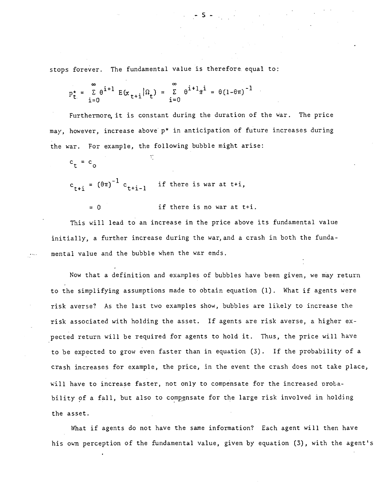stops forever. The fundamental value is therefore. equal to:

$$
p_{t}^{*} = \sum_{i=0}^{\infty} \theta^{i+1} E(x_{t+i} | \Omega_{t}) = \sum_{i=0}^{\infty} \theta^{i+1} \pi^{i} = \theta (1 - \theta \pi)^{-1}
$$

Furthermore, it is constant during the duration of the war. The price may, however, increase above p\* in anticipation of future increases during the war. For example, the following bubble might arise:

$$
c_t = c_0
$$
  
 $c_{t+i} = (\theta \pi)^{-1} c_{t+i-1}$  if there is war at t+i,

 $=0$  if there is no war at t+i.

This will lead to an increase in the price above its fundamental value initially, a further increase during the war, and a crash in both the fundamental value and the bubble when the war ends.

Now that a definition and examples of bubbles have been given, we may return to the simplifying assumptions made to obtain equation (1). What if agents were risk averse? As the last two examples show, bubbles are likely to increase the risk associated with holding the asset. If agents are risk averse, a higher expected return will be required for agents to hold it. Thus, the price will have to be expected to grow even faster than in equation (3). If the probability of a crash increases for example, the price, in the event the crash does not take place, will have to increase faster, not only to compensate for the increased orobability of a fall, but also to compensate for the large risk involved in holding the asset.

What if agents do not have the same information? Each agent will then have his own perception of the fundamental value, given by equation (3), with the agent's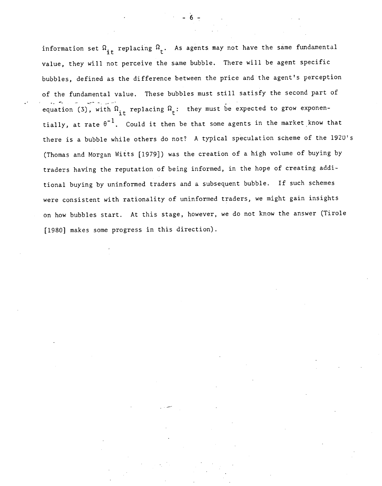information set  $\Omega_{\text{it}}$  replacing  $\Omega_{\text{t}}$ . As agents may not have the same fundamental value, they will not perceive the same bubble. There will be agent specific bubbles, defined as the difference between the price and the agent's perception of the fundamental value. These bubbles must still satisfy the second part of equation (3), with  $\Omega_{\text{it}}$  replacing  $\Omega_{\text{t}}$ : they must be expected to grow exponentially, at rate  $\theta^{-1}$ . Could it then be that some agents in the market know that there is a bubble while others do not? A typical speculation scheme of the 1920's (Thomas and Morgan Witts [1979]) was the creation of a high volume of buying by traders having the reputation of being informed, in the hope of creating additional buying by uninformed traders and a subsequent bubble. If such schemes were consistent with rationality of uninformed traders, we might gain insights on how bubbles start. At this stage, however, we do not know the answer (Tirole [1980] makes some progress in this direction).

 $-6-$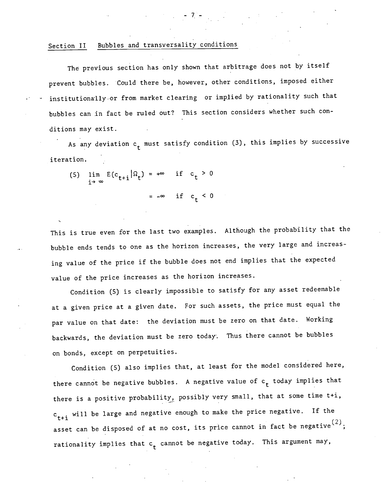# Section II Bubbles and transversality conditions

The previous section has only shown that arbitrage does not by itself prevent bubbles. Could there be, however, other conditions, imposed either institutionally or from market clearing or implied by rationality such that bubbles can in fact be ruled out? This section considers whether such conditions may exist.

As any deviation  $c_t$  must satisfy condition (3), this implies by successive iteration.

(5) lim  $E(c_{t+i}|\Omega_t) = +\infty$  if  $c_t > 0$ i<br>i→ ∞

$$
= -\infty \quad \text{if} \quad c_t < 0
$$

This is true even for the last two examples. Although the probability that the bubble ends tends to one as the horizon increases, the very large and increasing value of the price if the bubble does not end implies that the expected value of the price increases as the horizon increases.

Condition (5) is clearly impossible to satisfy for any asset redeemable at a given price at a given date. For such assets, the price must equal the par value on that date: the deviation must be zero on that date. Working backwards, the deviation must be zero today. Thus there cannot be bubbles on bonds, except on perpetuitieS.

Condition (5) also implies that, at least for the model considered here, there cannot be negative bubbles. A negative value of  $c_t$  today implies that there is a positive probability, possibly very small, that at some time t+i,  $c_{t+1}$  will be large and negative enough to make the price negative. If the asset can be disposed of at no cost, its price cannot in fact be negative<sup>(2)</sup>; rationality implies that  $c_t$  cannot be negative today. This argument may,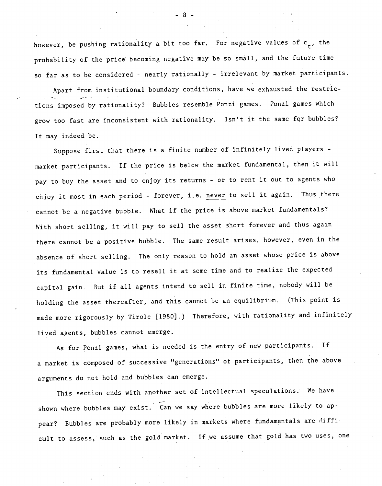however, be pushing rationality a bit too far. For negative values of  $c_{+}$ , the probability of the price becoming negative may be so small, and the future time so far as to be considered - nearly rationally - irrelevant by market participants.

Apart from institutional boundary conditions, have we exhausted the restrictions imposed by rationality? Bubbles resemble Ponzi games. Ponzi games which grow too fast are inconsistent with rationality. Isn't it the same for bubbles? It may indeed be.

Suppose first that there is a finite number of infinitely lived players market participants. If the price is below the market fundamental, then it will pay to buy the asset and to enjoy its returns - or to rent it out to agents who enjoy it most in each period - forever, i.e. never to sell it again. Thus there cannot be a negative bubble. What if the price is above market fundamentals? With short selling, it will pay to sell the asset short forever and thus again there cannot be a positive bubble. The same result arises, however, even in the absence of short selling. The only reason to hold an asset whose price is above its fundamental value is to resell it at some time and to realize the expected capital gain. But if all agents intend to sell in finite time, nobody will be holding the asset thereafter, and this cannot be an equilibrium. (This point is made more rigorously by Tirole [1980].) Therefore, with rationality and infinitely lived agents, bubbles cannot emerge.

As for Ponzi games, what is needed is the entry of new participants. If a market is composed of successive "generations" of participants, then the above arguments do not hold and bubbles can emerge.

This section ends with another set of intellectual speculations. We have shown where bubbles may exist. Can we say where bubbles are more likely to appear? Bubbles are probably more likely in markets where fundamentals are difficult to assess, such as the gold market. If we assume that gold has two uses, one

-8-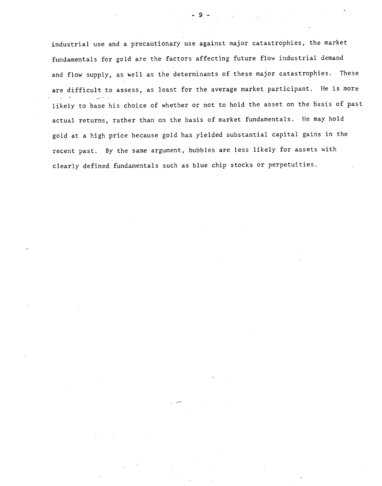industrial use and a precautionary use against major catastrophies, the market fundamentals for gold are the factors affecting future flow industrial demand and flow supply, as well as the determinants of these major catastrophies. These are difficult to assess, as least for the average market participant. He is more likely to base his choice of whether or not to hold the asset on the basis of past actual returns, rather than on the basis of market fundamentals. He may hold gold at ahigh price because gold has yielded substantial capital gains in the recent past. By the sane argument, bubbles are less likely for assets with clearly defined fundamentals such as blue chip stocks or perpetuities.

-9-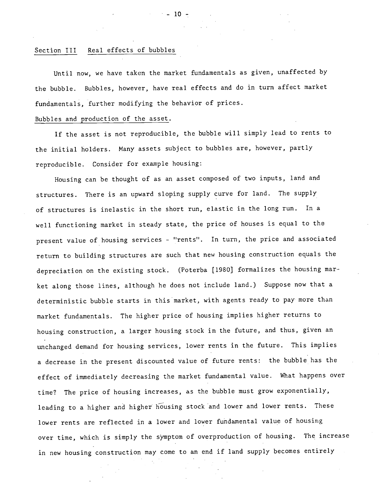## Section III Real effects of bubbles

Until now, we have taken the market fundamentals as given, unaffected by the bubble. Bubbles, however, have real effects and do in turn affect market fundamentals, further modifying the behavior of prices.

## Bubbles and production of the asset.

If the asset is not reproducible, the bubble will simply lead to rents to the initial holders. Many assets subject to bubbles are, however, partly reproducible. Consider for example housing:

Housing can be thought of as an asset composed of two inputs, land and structures. There is an upward sloping supply curve for land. The supply of structures is inelastic in the short run, elastic in the long run. In a well functioning market in steady state, the price of houses is equal to the present value of housing services - "rents". In turn, the price and associated return to building structures are such that new housing construction equals the depreciation on the existing stock. (Poterba [1980] formalizes the housing market along those lines, although he does not include land.) Suppose now that a deterministic bubble starts in this market, with agents ready to pay more than market fundamentals. The higher price of housing implies higher returns to housing construction, a larger housing stock in the future, and thus, given an unchanged demand for housing services, lower rents in the future. This implies a decrease in the present discounted value of future rents: the bubble has the effect of immediately decreasing the market fundamental value. What happens over time? The price of housing increases, as the bubble must grow exponentially, leading to a higher and higher housing stock and lower and lower rents. These lower rents are reflected in a lower and lower fundamental value of housing over time, which is simply the symptom of overproduction of housing. The increase in new housing construction may come to an end if land supply becomes entirely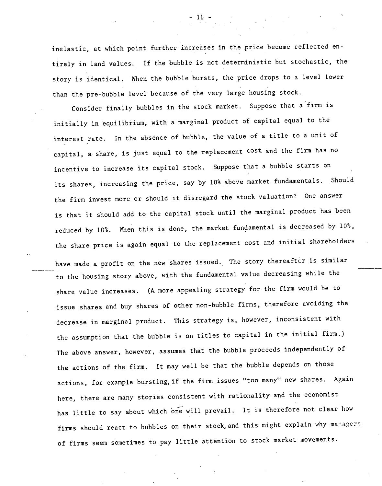inelastic, at which point further increases in the price become reflected entirely in land values. If the bubble is not deterministic but stochastic, the story is identical. When the bubble bursts, the price drops to a level lower than the pre-bubble level because of the very large housing stock.

Consider finally bubbles in the stock market. Suppose that a firm is initially in equilibrium, with a marginal product of capital equal to the interest rate. In the absence of bubble, the value of a title to a unit of capital, a share, is just equal to the replacement cost and the firm has no incentive to increase its capital stock. Suppose that a bubble starts on its shares, increasing the price, say by 10% above market fundamentals. Should the firm invest more or should it disregard the stock valuation? One answer is that it should add to the capital stock until the marginal product has been reduced by 10%. When this is done, the market fundamental is decreased by 10%, the share price is again equal to the replacement cost and initial shareholders

have made a profit on the new shares issued. The story thereafter is similar to the housing story above, with the fundamental value decreasing while the share value increases. (A more appealing strategy for the firm would be to issue shares and buy shares of other non-bubble firms, therefore avoiding the decrease in marginal product. This strategy is, however, inconsistent with the assumption that the bubble is on titles to capital in the initial firm.) The above answer, however, assumes that the bubble proceeds independently of the actions of the firm. It may well be that the bubble depends on those actions, for example bursting, if the firm issues "too many" new shares. Again here, there are many stories consistent with rationality and the economist has little to say about which one will prevail. It is therefore not clear how firms should react to bubbles on their stock, and this might explain why managers of firms seem sometimes to pay little attention to stock market movements.

 $-11 -$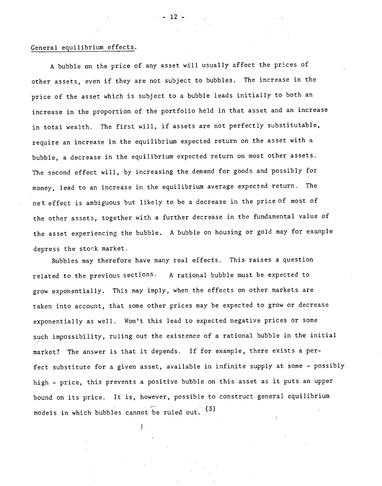# General equilibrium effects.

A bubble on the price of any asset will usually affect the prices of other assets, even if they are not subject to bubbles. The increase in the price of the asset which is subject to a bubble leads initially to both an increase in the proportion of the portfolio held in that asset and an increase in total wealth. The first will, if assets are not perfectly substitutable, require an increase in the equilibrium expected return on the asset with a bubble, a decrease in the equilibrium expected return on most other assets. The second effect will, by increasing the demand for goods and possibly for money, lead to an increase in the equilibrium average expected return. The net effect is ambiguous but likely to be a decrease in the price of most of the other assets, together with a further decrease in the fundamental value of the asset experiencing the bubble. A bubble on housing or gold may for example depress the stork market.

Bubbles may therefore have many real effects. This raises a question related to the previous sections. A rational bubble must be expected to grow exponentially. This may imply, when the effects on other markets are taken into account, that some other prices may be expected to grow or decrease exponentially as well. Won't this lead to expected negative prices or some such impossibility, ruling out the existence of a rational bubble in the initial market? The answer is that it depends. If for example, there exists a perfect substitute for a given asset, available in infinite supply at some - possibly. high - price, this prevents a positive bubble on this asset as it puts an upper bound on its price. It'is, however, possible to construct general equilibrium models in which bubbles cannot be ruled out. <sup>(3)</sup>

Ŧ

- 12 —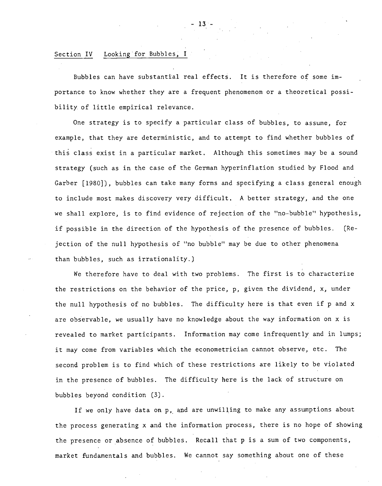# Section IV Looking'for Bubbles, I

Bubbles can have substantial real effects. It is therefore of some importance to know whether they are a frequent phenomenom or a theoretical possibility. of little empirical relevance.

One strategy is to specify a particular class of bubbles, to assume, for example, that they are deterministic, and to attempt to find whether bubbles of this class exist in a particular market. Although this sometimes may be a sound strategy (such as in the case of the German hyperinflation studied by Flood and Garber [1980]), bubbles can take many forms and specifying a class general enough to include most makes discovery very difficult. A better strategy, and the one we shall explore, is to find evidence of rejection of the "no-bubble" hypothesis, if possible in the direction of the hypothesis of the presence of bubbles. (Rejection of the null hypothesis of "no bubble" may be due to other phenomena than bubbles, such as irrationality.)

We therefore have to deal with two problems. The first is to characterize the restrictions on the behavior of the price, p, given the dividend, x, under the null hypothesis of no bubbles. The difficulty here is that even if p and x are observable, we usually have no knowledge about the way information on x is revealed to market participants. Information may come infrequently and in lumps; it may come from variables which the econometrician cannot observe, etc. The second problem is to find which of these restrictions are likely to be violated in the presence of bubbles. The difficulty here is the lack of structure on bubbles beyond condition (3).

If we only have data on p, and are unwilling to make any assumptions about the process generating x and the information process, there is no hope of showing the presence or absence of bubbles. Recall that p is a sum of two components, market fundamentals and bubbles. We cannot say something about one of these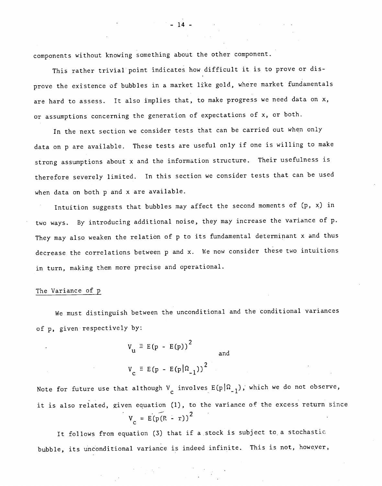components without knowing something about the other component.

This rather trivial point indicates how difficult it is to prove or disprove the existence of bubbles in a market like gold, where market fundamentals are hard to assess. It also implies that, to make progress we need data on x, or assumptions concerning the generation of expectations of x, or both.

In the next section we consider tests that can be carried out when only data on p are available. These tests are useful only if one is willing to make strong assumptions about x and the information structure. Their usefulness is therefore severely limited. In this section we consider tests that can be used when data on both p and x are available.

Intuition suggests that bubbles may affect the second moments of  $(p, x)$  in two ways. By introducing additional noise, they may increase the variance of p. They may also weaken the relation of p to its fundamental determinant x and thus decrease the correlations between p and x. We now consider these two intuitions in turn, making them more precise and operational.

# The Variance of p

We must distinguish between the unconditional and the conditional variances of p, given respectively by:

> $V_u \equiv E(p - E(p))^2$ and  $V_c \equiv E(p - E(p|\Omega_1))^2$

Note for future use that although V<sub>c</sub> involves  $E(p|\Omega_{-1})$ , which we do not observe, it is also related, given equation (1), to the variance of the excess return since  $V_c = E(p(R - r))^2$ 

It follows from equation (3) that if a stock is subject to a stochastic bubble, its unconditional variance is indeed infinite. This is not, howeyer,

 $- 14 -$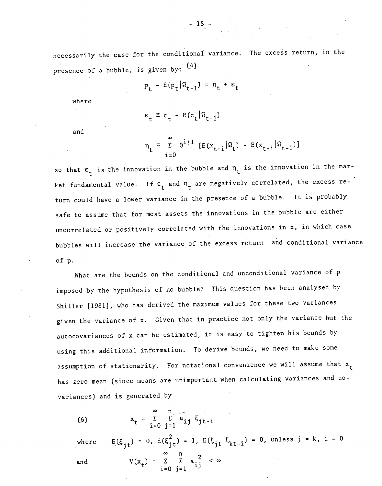necessarily the case for the conditional variance. The excess return, in the presence of a bubble, is given by:  $(4)$ 

$$
P_t - E(P_t | \Omega_{t-1}) = n_t + \varepsilon_t
$$

where

$$
\varepsilon_t \equiv c_t - E(c_t | \Omega_{t-1})
$$

and

$$
n_t = \sum_{i=0}^{\infty} \theta^{i+1} [E(x_{t+i}|\Omega_t) - E(x_{t+i}|\Omega_{t-1})]
$$

so that  $\varepsilon_t$  is the innovation in the bubble and  $n_t$  is the innovation in the market fundamental value. If  $\varepsilon_t$  and  $n_t$  are negatively correlated, the excess return could have a lower variance in the presence of a bubble. It is probably safe to assune that for most assets the innovations in the bubble are either uncorrelated or positively correlated with the innovations in x, in which case bubbles will increase the variance of the excess return and conditional variance of p.

What are the bounds on the conditional and unconditional variance of p imposed by the hypothesis of no bubble? This question has been analysed by Shiller [1981], who has derived the maximum values for these two variances given the variance of x. Given that in practice not only the variance but the autocovariances of x can be estimated, it is easy to tighten his bounds by using this additional information. To derive bounds, we need to make some assumption of stationarity. For notational convenience we will assume that  $x_t$ has zero mean (since means are unimportant when calculating variances and covariances) and is generated by

(6) 
$$
x_t = \sum_{i=0}^{\infty} \sum_{j=1}^{n} a_{ij} \xi_{jt-i}
$$

where  $E(\xi_{jt}) = 0$ ,  $E(\xi_{jt}^2) = 1$ ,  $E(\xi_{jt} \xi_{kt-i}) = 0$ , unless  $j = k$ ,  $i = 0$ 

and  $V(x_t) = \sum_{i=0}^{\infty} \sum_{i=1}^{n} a_{ij}^2 < \infty$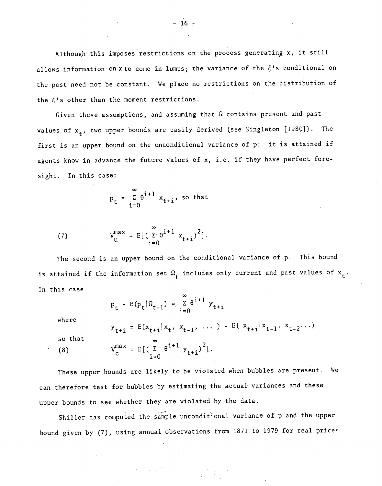Although this imposes restrictions on the process generating x, it still allows information on x to come in lumps; the variance of the  $\xi$ 's conditional on the past need not be constant. We place no restrictions on the distribution of the  $\xi$ 's other than the moment restrictions.

Given these assumptions, and assuming that  $\Omega$  contains present and past values of  $x_t$ , two upper bounds are easily derived (see Singleton [1980]). The first is an upper bound on the unconditional variance of p: it is attained if agents know in advance the future values of x, i.e. if they have perfect foresight. In this case:

$$
p_t = \sum_{i=0}^{\infty} \theta^{i+1} x_{t+i}, \text{ so that}
$$

(7) 
$$
V_{u}^{\max} = E[(\sum_{i=0}^{\infty} \theta^{i+1} x_{t+i})^{2}].
$$

The second is an upper bound on the conditional variance of p. This bound is attained if the information set  $\Omega_t$  includes only current and past values of  $x_t$ . In this case

$$
p_t - E(p_t | \Omega_{t-1}) = \sum_{i=0}^{\infty} \theta^{i+1} y_{t+i}
$$

where

•

where  
\n
$$
y_{t+i} = E(x_{t+i}|x_t, x_{t-1}, \dots) - E(x_{t+i}|x_{t-1}, x_{t-2}...)
$$
  
\nso that  
\n $y_c^{\max} = E[(\sum_{i=1}^{\infty} \theta^{i+1} y_{t+i})^2].$ 

These upper bounds are likely to be violated when bubbles are present. We can therefore test for bubbles by estimating the actual variances and these upper bounds to see whether they are violated by the data.

Shiller has computed the sample unconditional variance of p and the upper bound given by (7), using annual observations from 1871 to 1979 for real prices

 $- 16 -$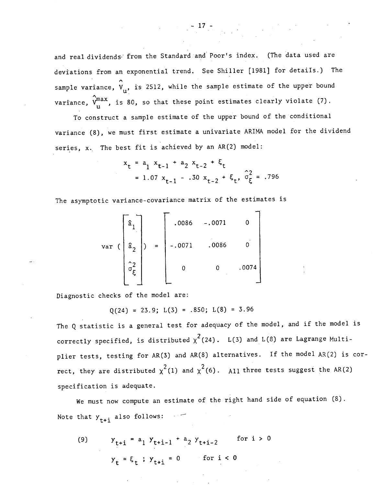and real dividends from the Standard and Poor's index. (The data used are deviations from an exponential trend. See Shiller [1981] for details.) The sample variance,  $V_{11}$ , is 2512, while the sample estimate of the upper bound variance,  $\hat{V}_{\text{u}}^{\text{max}}$ , is 80, so that these point estimates clearly violate (7).

To construct a sample estimate of the upper bound of the conditional variance (8), we must first estimate a univariate ARIMA model for the dividend series, x. The best fit is achieved by an AR(2) model:

$$
x_{t} = a_{1} x_{t-1} + a_{2} x_{t-2} + \xi_{t}
$$
  
= 1.07 x<sub>t-1</sub> - .30 x<sub>t-2</sub> +  $\xi_{t}$ ,  $\hat{\sigma}_{\xi}^{2}$  = .796

The asymptotic variance-covariance matrix of the estimates is

|       | â      |          | .0086    | $-.0071$ |       |  |
|-------|--------|----------|----------|----------|-------|--|
| var ( | $a_2$  | $\equiv$ | $-.0071$ | .0086    |       |  |
|       | $\sim$ |          |          |          | .0074 |  |

Diagnostic checks of the model are:

$$
Q(24) = 23.9
$$
;  $L(3) = .850$ ;  $L(8) = 3.96$ 

The Q statistic is a general test for adequacy of the model, and if the model is correctly specified, is distributed  $\chi^2(24)$ . L(3) and L(8) are Lagrange Multiplier tests, testing for AR(3) and AR(8) alternatives. If the model AR(2) is correct, they are distributed  $\chi^2(1)$  and  $\chi^2(6)$ . All three tests suggest the AR(2) specification is adequate.

We must now compute an estimate of the right hand side of equation (8). Note that  $y_{t+1}$  also follows:

(9) 
$$
y_{t+i} = a_1 y_{t+i-1} + a_2 y_{t+i-2}
$$
 for  $i > 0$   
 $y_t = \xi_t$ ;  $y_{t+i} = 0$  for  $i < 0$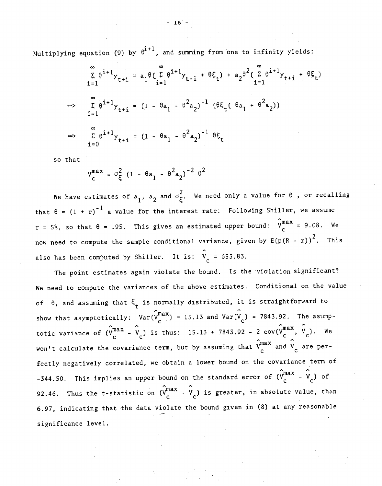Multiplying equation (9) by  $\theta^{i+1}$ , and summing from one to infinity yields:

$$
\sum_{i=1}^{\infty} \theta^{i+1} y_{t+i} = a_1 \theta \left( \sum_{i=1}^{\infty} \theta^{i+1} y_{t+i} + \theta \xi_t \right) + a_2 \theta^2 \left( \sum_{i=1}^{\infty} \theta^{i+1} y_{t+i} + \theta \xi_t \right)
$$
  
\n
$$
\Rightarrow \sum_{i=1}^{\infty} \theta^{i+1} y_{t+i} = (1 - \theta a_1 - \theta^2 a_2)^{-1} (\theta \xi_t (\theta a_1 + \theta^2 a_2))
$$
  
\n
$$
\Rightarrow \sum_{i=0}^{\infty} \theta^{i+1} y_{t+i} = (1 - \theta a_1 - \theta^2 a_2)^{-1} \theta \xi_t
$$

so that

$$
v_c^{\max} = \sigma_{\xi}^2 (1 - \theta a_1 - \theta^2 a_2)^{-2} \theta^2
$$

We have estimates of  $a_1$ ,  $a_2$  and  $\sigma_{\xi}^2$ . We need only a value for  $\theta$ , or recalling that  $\theta = (1 + r)^{-1}$  a value for the interest rate. Following Shiller, we assume  $r = 5\%$ , so that  $\theta = .95$ . This gives an estimated upper bound:  $\hat{v}_c^{max} = 9.08$ . We now need to compute the sample conditional variance, given by  $E(p(R - r))^2$ . This also has been computed by Shiller. It is:  $\hat{V}_{\rho}$  = 653.83.

The point estimates again violate the bound. Is the violation significant? We need to compute the variances of the above estimates. Conditional on the value of  $\theta$ , and assuming that  $\xi_{\dagger}$  is normally distributed, it is straightforward to show that asymptotically:  $Var(\hat{V}_{c}^{max}) = 15.13$  and  $Var(\hat{V}_{c}) = 7843.92$ . The asumptotic variance of  $(\hat{V}_{c}^{max} - \hat{V}_{c})$  is thus: 15.13 + 7843.92 - 2 cov $(\hat{V}_{c}^{max}, \hat{V}_{c})$ . We won't calculate the covariance term, but by assuming that  $\hat{v}_c^{max}$  and  $\hat{v}_c$  are perfectly negatively correlated, we obtain a lower bound on the covariance term of -344.50. This implies an upper bound on the standard error of  $(\hat{V}_{c}^{max} - \hat{V}_{c})$  of 92.46. Thus the t-statistic on  $(\hat{V}_{c}^{max} - \hat{V}_{c})$  is greater, in absolute value, than 6.97, indicating that the data violate the bound given in (8) at any reasonable significance level.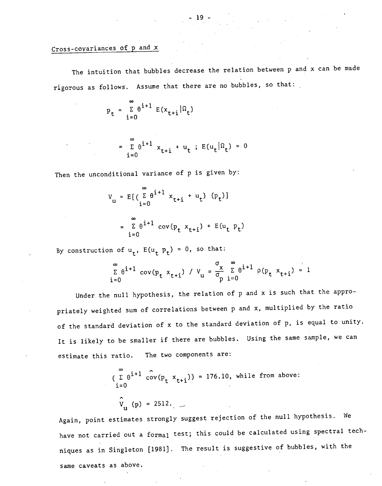# Cross-covariances of  $p$  and  $x$

The intuition that bubbles decrease the relation between p and x can be made rigorous as follows. Assume that there are no bubbles, so that:

$$
p_t = \sum_{i=0}^{\infty} \theta^{i+1} E(x_{t+i} | \Omega_t)
$$

$$
= \sum_{i=0}^{\infty} \theta^{i+1} x_{t+i} + u_t ; E(u_t|\Omega_t) = 0
$$

Then the unconditional variance of p is given by:

$$
V_{u} = E[(\sum_{i=0}^{\infty} \theta^{i+1} x_{t+i} + u_t) (p_t)]
$$
  
= 
$$
\sum_{i=0}^{\infty} \theta^{i+1} cov(p_t x_{t+i}) + E(u_t p_t)
$$

By construction of  $u_t$ ,  $E(u_t p_t) = 0$ , so that:

$$
\sum_{i=0}^{\infty} \theta^{i+1} \, \text{cov}(p_t \, x_{t+i}) / V_u = \frac{\sigma_x}{\sigma_p} \sum_{i=0}^{\infty} \theta^{i+1} \, \rho(p_t \, x_{t+i}) = 1
$$

Under the null hypothesis, the relation of p and x is such that the appropriately weighted sum of correlations between p and x, multiplied by the ratio of the standard deviation of x to the standard deviation of p. is equal to unity. It is likely to be smaller if there are bubbles. Using the same sample, we can estimate this ratio. The two components are:

$$
\begin{aligned}\n &\left(\begin{array}{cc}\n\sum_{i=0}^{\infty} \theta^{i+1} & \hat{\text{cov}}(p_t | x_{t+i})\n\end{array}\right) = 176.10, \text{ while from above:} \\
&\hat{V}_{\text{u}}(p) = 2512.\n\end{aligned}
$$

Again, point estimates strongly suggest rejection of the null hypothesis. We have not carried out a formal test; this could be calculated using spectral techniques as in Singleton [1981]. The result is suggestive of bubbles, with the same caveats as above.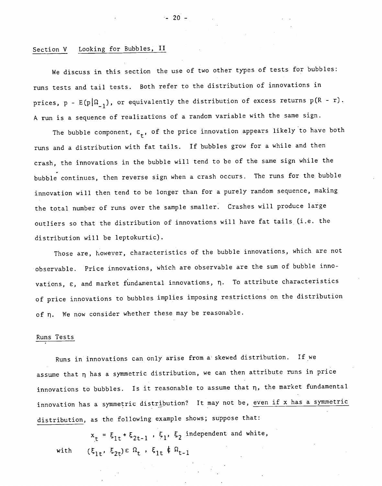## Section V Looking for Bubbles, II

We discuss in this section the use of two other types of tests for bubbles: runs tests and tail tests. Both refer to the distribution of innovations in prices,  $p - E(p|\Omega_{-1})$ , or equivalently the distribution of excess returns  $p(R - r)$ . A run is a sequence of realizations of a random variable with the same sign.

The bubble component,  $\varepsilon_{t}$ , of the price innovation appears likely to have both runs and a distribution with fat tails. If bubbles grow for a while and then crash, the innovations in the bubble will tend to be of the same sign while the bubble continues, then reverse sign when a crash occurs. The runs for the bubble innovation will then tend to be longer than for a purely random sequence, making the total number of runs over the sample smaller. Crashes will produce large outliers so that the distribution of innovations will have fat tails (i.e. the distribution will be leptokurtic).

Those are, however, characteristics of the bubble innovations, which are not observable. Price innovations, which are observable are the sum of bubble innovations,  $\varepsilon$ , and market fundamental innovations,  $\eta$ . To attribute characteristics of price innovations to bubbles implies imposing restrictions on the distribution of  $\eta$ . We now consider whether these may be reasonable.

# Runs Tests

Runs in innovations can only arise from a' skewed distribution. If we assume that  $\eta$  has a symmetric distribution, we can then attribute runs in price innovations to bubbles. Is it reasonable to assume that  $\eta$ , the market fundamental innovation has a symmetric distribution? It may not be, even if x has a symmetric distribution, as the following example shows; suppose that:

 $x_t = \xi_{1t} + \xi_{2t-1}$ ,  $\xi_1$ ,  $\xi_2$  independent and white, with  $(\xi_{1t}, \xi_{2t}) \in \Omega_t$ ,  $\xi_{1t} \notin \Omega_{t-1}$ 

-20-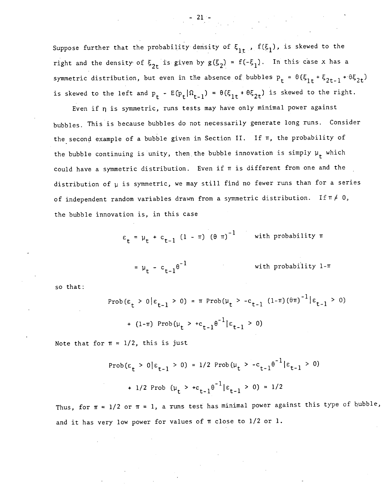Suppose further that the probability density of  $\xi_{1t}$ ,  $f(\xi_1)$ , is skewed to the right and the density of  $\xi_{2t}$  is given by  $g(\xi_2) = f(-\xi_1)$ . In this case x has a symmetric distribution, but even in the absence of bubbles  $p_t = \theta(\xi_{1t} + \xi_{2t-1} + \theta \xi_{2t})$ is skewed to the left and  $p_t - E(p_t|\Omega_{t-1}) = \theta(\xi_{1t} + \theta \xi_{2t})$  is skewed to the right.

Even if  $\eta$  is symmetric, runs tests may have only minimal power against bubbles. This is because bubbles do not necessarily generate long runs. Consider the second example of a bubble given in Section II. If  $\pi$ , the probability of the bubble continuing is unity, then the bubble innovation is simply  $\mu_t$  which could have a symmetric distribution. Even if  $\pi$  is different from one and the distribution of  $\mu$  is symmetric, we may still find no fewer runs than for a series of independent random variables drawn from a symmetric distribution. If  $\pi \neq 0$ , the bubble innovation is, in this case

 $\varepsilon_t = \mu_t + c_{t-1} (1 - \pi) (\theta \pi)^{-1}$  with probability  $\pi$ 

$$
= \mu_t - c_{t-1} \theta^{-1} \qquad \text{with probability } 1-\pi
$$

so that:

Proh( > > 0) = it Prob(U > c1 (lit)(0it)Hc1 > 0) <sup>+</sup> (1-it) Prob(P > +c 1OhIl > 0)

Note that for  $\pi = 1/2$ , this is just

$$
\text{Prob}(\epsilon_t > 0 | \epsilon_{t-1} > 0) = 1/2 \text{Prob}(\mu_t > -c_{t-1} \theta^{-1} | \epsilon_{t-1} > 0)
$$
  
+ 1/2 \text{Prob}(\mu\_t > +c\_{t-1} \theta^{-1} | \epsilon\_{t-1} > 0) = 1/2

Thus, for  $\pi = 1/2$  or  $\pi = 1$ , a runs test has minimal power against this type of bubble, and it has very low power for values of  $\pi$  close to  $1/2$  or 1.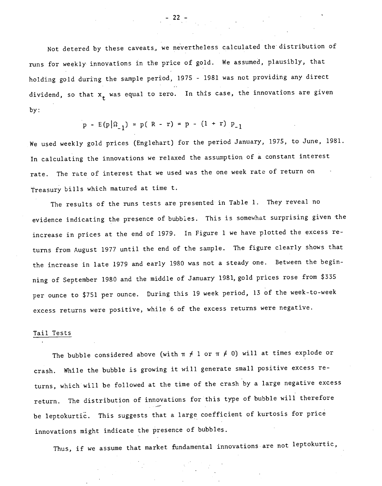Not detered by these caveats., we nevertheless calculated the distribution of runs for weekly innovations in the price of gold. We assumed, plausibly, that holding gold during the sample period, 1975 - 1981 was not providing any direct dividend, so that  $x_+$  was equal to zero. In this case, the innovations are given by:

$$
p - E(p|\Omega_1) = p(R - r) = p - (1 + r) p_{-1}
$$

We used weekly gold prices (Englehart) for the period January, 1975, to June, 1981. In calculating the innovations we relaxed the assumption of a constant interest rate. The rate of interest that we used was the one week rate of return on Treasury bills which matured at time t.

The results of the runs tests are presented in Table 1. They reveal no evidence indicating the presence of bubbles. This is somewhat surprising given the increase in prices at the end of 1979. In Figure 1 we have plotted the excess returns from August 1977 until the end of the sample. The figure clearly shows that the increase in late 1979 and early 1980 was not a steady one. Between the beginning of September 1980 and the middle of January 1981, gold prices rose from \$335 per ounce to \$751 per ounce. During this 19 week period, 13 of the week-to-week excess returns were positive, while 6 of the excess returns were negative.

### Tail Tests

The bubble considered above (with  $\pi \neq 1$  or  $\pi \neq 0$ ) will at times explode or crash. While the bubble is growing it will generate small positive excess returns, which will be followed at the time of the crash by a large negative excess return. The distribution of innovations for this type of bubble will therefore be leptokurtic. This suggests that a large coefficient of kurtosis for price innovations might indicate the presence of bubbles.

Thus, if we assume that market fundamental innovations are not leptokurtic,

 $-22$  –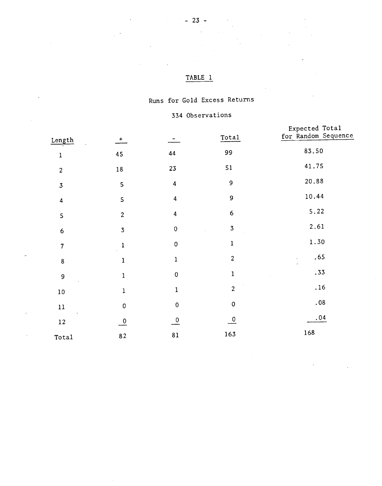# TABLE 1

# Runs for Gold Excess Returns

334 Observations

| Length                  | $+$          |                         | Total            | Expected Total<br>for Random Sequence |
|-------------------------|--------------|-------------------------|------------------|---------------------------------------|
| 1                       | 45           | 44                      | 99               | 83.50                                 |
| $\overline{c}$          | 18           | 23                      | 51               | 41.75                                 |
| $\overline{3}$          | $\sf S$      | $\overline{\mathbf{4}}$ | $\mathsf g$      | 20.88                                 |
| $\overline{\mathbf{4}}$ | 5            | 4                       | $\mathsf 9$      | 10.44                                 |
| $\sf S$                 | $\sqrt{2}$   | 4                       | $\boldsymbol{6}$ | 5.22                                  |
| 6                       | $\mathbf 3$  | $\pmb{0}$               | 3                | 2.61                                  |
| $\overline{7}$          | $\mathbf{1}$ | $\pmb{0}$               | $\mathbf{1}$     | 1.30                                  |
| $\bf 8$                 | $\mathbf 1$  | $\mathbf 1$             | $\overline{2}$   | .65<br>÷                              |
| $\mathbf 9$             | $\mathbf 1$  | $\pmb{0}$               | 1                | .33                                   |
| $10\,$                  | $\mathbf{1}$ | $\mathbf 1$             | $\overline{2}$   | .16                                   |
| $11\,$                  | $\pmb{0}$    | $\pmb{0}$               | $\pmb{0}$        | $\boldsymbol{.08}$                    |
| $12\,$                  | $\mathbf{0}$ | $\boldsymbol{0}$        | $\overline{0}$   | .04                                   |
| Total                   | 82           | 81                      | 163              | 168                                   |

 $\bar{\phantom{a}}$ 

 $\epsilon$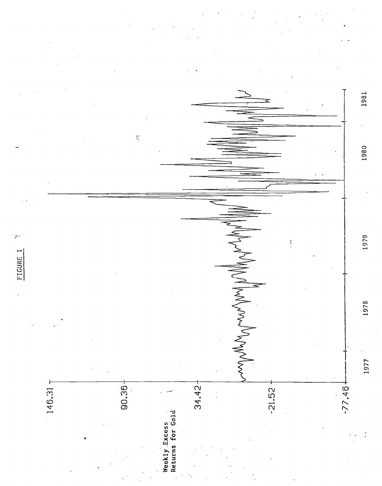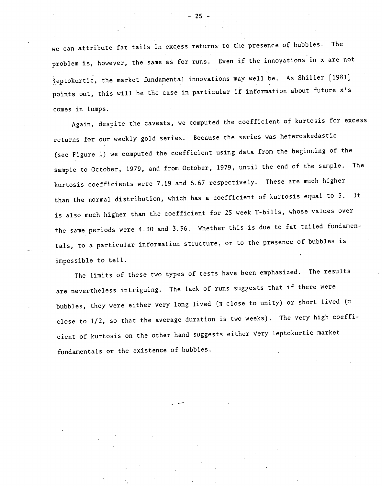we can attribute fat tails in excess returns to the presence of bubbles. The problem is, however, the same as for runs. Even if the innovations in x are not Ieptokurtic, the market fundamental innovations may well he. As Shiller [1981] points out, this will be the case in particular if information about future x's comes in lumps.

Again, despite the caveats, we computed the coefficient of kurtosis for excess returns for our weekly gold series. Because the series was heteroskedastic (see Figure 1) we computed the coefficient using data from the beginning of the sample to October, 1979, and from October, 1979, until the end of the sample. The kurtosis coefficients were 7.19 and 6.67 respectively. These are much higher than the normal distribution, which has a coefficient of kurtosis equal to 3. It is also much higher than the coefficient for 25 week T-bills, whose values over the same periods were 4.30 and 3.36. Whether this is due to fat tailed fundamentals, to a particular information structure, or to the presence of bubbles is impossible to tell.

The limits of these two types of tests have been emphasized. The results are nevertheless intriguing. The lack of runs suggests that if there were bubbles, they were either very long lived ( $\pi$  close to unity) or short lived ( $\pi$ close to 1/2, so that the average duration is two weeks). The very high coefficient of kurtosis on the other hand suggests either very leptokurtic market fundamentals or the existence of bubbles.

- 25 —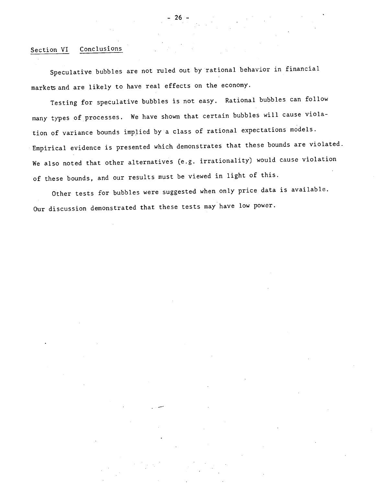# Section VI Conclusions

Speculative bubbles are not ruled Out by rational behavior in financial markets and are likely to have real effects on the economy.

Testing for speculative bubbles is not easy. Rational bubbles can follow many types of processes. We have shown that certain bubbles will cause violation of variance bounds implied by a class of rational expectations models. Empirical evidence is presented which demonstrates that these bounds are violated. We also noted that other alternatives (e.g. irrationality) would cause violation of these bounds., and our results must be viewed in light of this.

Other tests for bubbles were suggested when only price data is available. Our discussion demonstrated that these tests may have low power.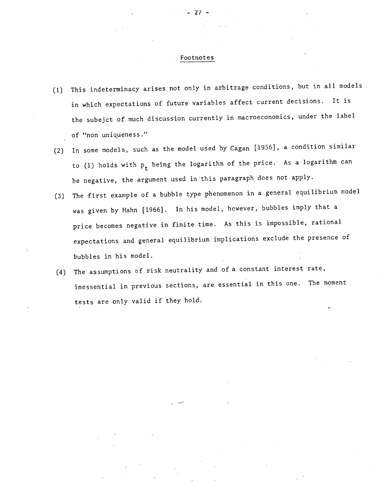### Footnötes

- (1) This indeterminacy arises not only in arbitrage conditions, but in all models in which expectations of future variables affect current decisions. It is the subejct of much discussion currently in macroeconomics, under the label of "non uniqueness."
- (2) In some models, such as the model used by Cagan [1956), a condition similar to (1) holds with  $p_t$  being the logarithm of the price. As a logarithm can be negative, the argument used in this paragraph does not apply.
- (3) The first example of a bubble type phenomenon in a general equilibrium model was given by Hahn [1966]. In his model, however, bubbles imply that a price becomes negative in finite time. As this is impossible, rational expectations and general equilibrium implications exclude the presence of bubbles in his model.
- (4) The assumptions of risk neutrality and of a constant interest rate, inessential in previous sections, are essential in this one. The moment tests are only valid if they hold.